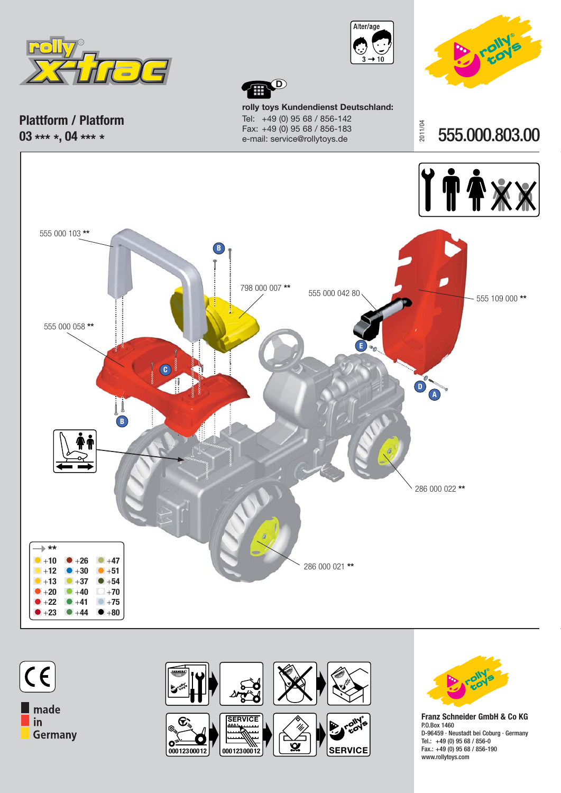



2011/04



555.000.803.00

**Plattform / Platform 03 \*\*\* \*, 04 \*\*\* \***

555 000 103 **\*\***

555 000 058 **\*\***

**rolly toys Kundendienst Deutschland:** Tel: +49 (0) 95 68 / 856-142 Fax: +49 (0) 95 68 / 856-183 e-mail: service@rollytoys.de

**D**





**\*\*** +**10**  $+12$ +**13** +**20** +**22**

+**23** +**44**

+**26** +**30** +**37** +**40** +**41**

+**47** +**51** +**54** +**70** +**75** +**80**

 $\blacksquare$  made in Germany



286 000 021 **\*\***